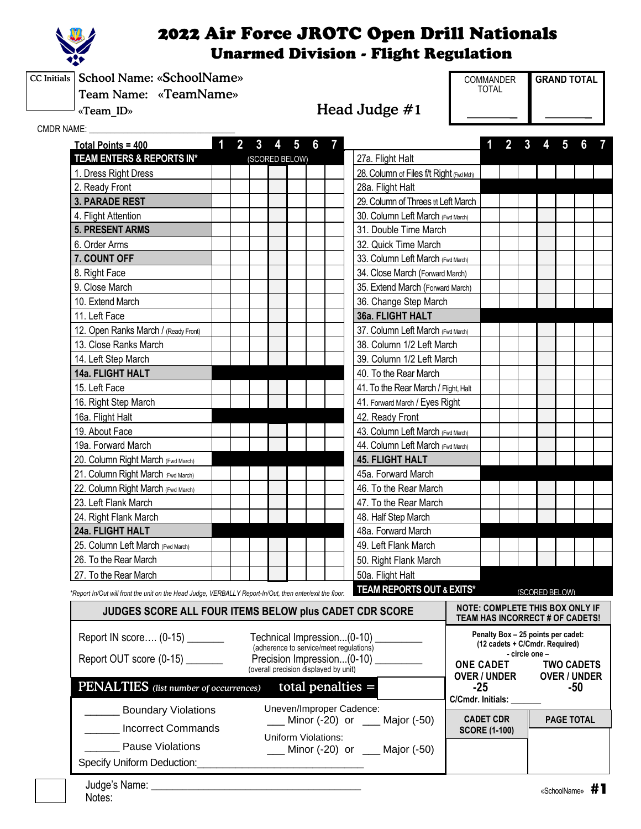

CC Initials School Name: «SchoolName»

Team Name: «TeamName»

«Team\_ID» Head Judge #1

COMMANDER **GRAND TOTAL** TOTAL

CMDR NAME:

| VAME: A AMERICAN A MARINA<br>Total Points = 400                                                                     | 1                                                                                                                            | 2 | 3                | 5                          | 6              |                            |                                         |                                                                           | 2 |     |  | 5              |  |  |
|---------------------------------------------------------------------------------------------------------------------|------------------------------------------------------------------------------------------------------------------------------|---|------------------|----------------------------|----------------|----------------------------|-----------------------------------------|---------------------------------------------------------------------------|---|-----|--|----------------|--|--|
| TEAM ENTERS & REPORTS IN*                                                                                           |                                                                                                                              |   |                  | (SCORED BELOW)             |                |                            | 27a. Flight Halt                        |                                                                           |   |     |  |                |  |  |
| 1. Dress Right Dress                                                                                                |                                                                                                                              |   |                  |                            |                |                            | 28. Column of Files f/t Right (Fivd Md) |                                                                           |   |     |  |                |  |  |
| 2. Ready Front                                                                                                      |                                                                                                                              |   |                  |                            |                |                            | 28a. Flight Halt                        |                                                                           |   |     |  |                |  |  |
| <b>3. PARADE REST</b>                                                                                               |                                                                                                                              |   |                  |                            |                |                            | 29. Column of Threes tt Left March      |                                                                           |   |     |  |                |  |  |
| 4. Flight Attention                                                                                                 |                                                                                                                              |   |                  |                            |                |                            | 30. Column Left March (Fwd March)       |                                                                           |   |     |  |                |  |  |
| <b>5. PRESENT ARMS</b>                                                                                              |                                                                                                                              |   |                  |                            |                |                            | 31. Double Time March                   |                                                                           |   |     |  |                |  |  |
| 6. Order Arms                                                                                                       |                                                                                                                              |   |                  |                            |                |                            | 32. Quick Time March                    |                                                                           |   |     |  |                |  |  |
| 7. COUNT OFF                                                                                                        |                                                                                                                              |   |                  |                            |                |                            | 33. Column Left March (Fwd March)       |                                                                           |   |     |  |                |  |  |
| 8. Right Face                                                                                                       |                                                                                                                              |   |                  |                            |                |                            | 34. Close March (Forward March)         |                                                                           |   |     |  |                |  |  |
| 9. Close March                                                                                                      |                                                                                                                              |   |                  |                            |                |                            | 35. Extend March (Forward March)        |                                                                           |   |     |  |                |  |  |
| 10. Extend March                                                                                                    |                                                                                                                              |   |                  |                            |                |                            | 36. Change Step March                   |                                                                           |   |     |  |                |  |  |
| 11. Left Face                                                                                                       |                                                                                                                              |   |                  |                            |                |                            | 36a. FLIGHT HALT                        |                                                                           |   |     |  |                |  |  |
| 12. Open Ranks March / (Ready Front)                                                                                |                                                                                                                              |   |                  |                            |                |                            | 37. Column Left March (Fwd March)       |                                                                           |   |     |  |                |  |  |
| 13. Close Ranks March                                                                                               |                                                                                                                              |   |                  |                            |                |                            | 38. Column 1/2 Left March               |                                                                           |   |     |  |                |  |  |
| 14. Left Step March                                                                                                 |                                                                                                                              |   |                  |                            |                |                            | 39. Column 1/2 Left March               |                                                                           |   |     |  |                |  |  |
| 14a. FLIGHT HALT                                                                                                    |                                                                                                                              |   |                  |                            |                |                            | 40. To the Rear March                   |                                                                           |   |     |  |                |  |  |
| 15. Left Face                                                                                                       |                                                                                                                              |   |                  |                            |                |                            | 41. To the Rear March / Flight, Halt    |                                                                           |   |     |  |                |  |  |
| 16. Right Step March                                                                                                |                                                                                                                              |   |                  |                            |                |                            | 41. Forward March / Eyes Right          |                                                                           |   |     |  |                |  |  |
| 16a. Flight Halt                                                                                                    |                                                                                                                              |   |                  |                            |                |                            | 42. Ready Front                         |                                                                           |   |     |  |                |  |  |
| 19. About Face                                                                                                      |                                                                                                                              |   |                  |                            |                |                            | 43. Column Left March (Fwd March)       |                                                                           |   |     |  |                |  |  |
| 19a. Forward March                                                                                                  |                                                                                                                              |   |                  |                            |                |                            | 44. Column Left March (Fwd March)       |                                                                           |   |     |  |                |  |  |
| 20. Column Right March (Fwd March)                                                                                  |                                                                                                                              |   |                  |                            |                | <b>45. FLIGHT HALT</b>     |                                         |                                                                           |   |     |  |                |  |  |
| 21. Column Right March : Fwd March)                                                                                 |                                                                                                                              |   |                  |                            |                |                            | 45a. Forward March                      |                                                                           |   |     |  |                |  |  |
| 22. Column Right March (Fwd March)                                                                                  |                                                                                                                              |   |                  |                            |                |                            | 46. To the Rear March                   |                                                                           |   |     |  |                |  |  |
| 23. Left Flank March                                                                                                |                                                                                                                              |   |                  |                            |                |                            | 47. To the Rear March                   |                                                                           |   |     |  |                |  |  |
| 24. Right Flank March                                                                                               |                                                                                                                              |   |                  |                            |                |                            | 48. Half Step March                     |                                                                           |   |     |  |                |  |  |
| 24a. FLIGHT HALT                                                                                                    |                                                                                                                              |   |                  |                            |                |                            | 48a. Forward March                      |                                                                           |   |     |  |                |  |  |
| 25. Column Left March (Fwd March)                                                                                   |                                                                                                                              |   |                  |                            |                |                            | 49. Left Flank March                    |                                                                           |   |     |  |                |  |  |
| 26. To the Rear March                                                                                               |                                                                                                                              |   |                  |                            |                |                            | 50. Right Flank March                   |                                                                           |   |     |  |                |  |  |
| 27. To the Rear March                                                                                               |                                                                                                                              |   |                  |                            |                |                            | 50a. Flight Halt                        |                                                                           |   |     |  |                |  |  |
| *Report In/Out will front the unit on the Head Judge, VERBALLY Report-In/Out, then enter/exit the floor.            |                                                                                                                              |   |                  |                            |                |                            | TEAM REPORTS OUT & EXITS*               |                                                                           |   |     |  | (SCORED BELOW) |  |  |
| JUDGES SCORE ALL FOUR ITEMS BELOW plus CADET CDR SCORE                                                              |                                                                                                                              |   |                  |                            |                |                            |                                         | <b>NOTE: COMPLETE THIS BOX ONLY IF</b><br>TEAM HAS INCORRECT # OF CADETS! |   |     |  |                |  |  |
|                                                                                                                     | Penalty Box - 25 points per cadet:<br>Report IN score (0-15)<br>Technical Impression(0-10)<br>(12 cadets + C/Cmdr. Required) |   |                  |                            |                |                            |                                         |                                                                           |   |     |  |                |  |  |
| (adherence to service/meet regulations)<br>Report OUT score (0-15) _______<br>Precision Impression(0-10) __________ |                                                                                                                              |   | <b>ONE CADET</b> |                            | - circle one - |                            | <b>TWO CADETS</b>                       |                                                                           |   |     |  |                |  |  |
| (overall precision displayed by unit)                                                                               |                                                                                                                              |   |                  | <b>OVER / UNDER</b>        |                |                            |                                         | <b>OVER / UNDER</b>                                                       |   |     |  |                |  |  |
|                                                                                                                     | PENALTIES (list number of occurrences)<br>total penalties $=$                                                                |   |                  |                            |                | $-25$<br>C/Cmdr. Initials: |                                         |                                                                           |   | -50 |  |                |  |  |
| Uneven/Improper Cadence:<br><b>Example 1</b> Boundary Violations<br>Minor (-20) or ___ Major (-50)                  |                                                                                                                              |   |                  | <b>CADET CDR</b>           |                |                            |                                         | <b>PAGE TOTAL</b>                                                         |   |     |  |                |  |  |
| <b>Incorrect Commands</b>                                                                                           |                                                                                                                              |   |                  |                            |                |                            |                                         | <b>SCORE (1-100)</b>                                                      |   |     |  |                |  |  |
| <b>Pause Violations</b>                                                                                             |                                                                                                                              |   |                  | <b>Uniform Violations:</b> |                |                            | Minor (-20) or ___ Major (-50)          |                                                                           |   |     |  |                |  |  |
| Specify Uniform Deduction:                                                                                          |                                                                                                                              |   |                  |                            |                |                            |                                         |                                                                           |   |     |  |                |  |  |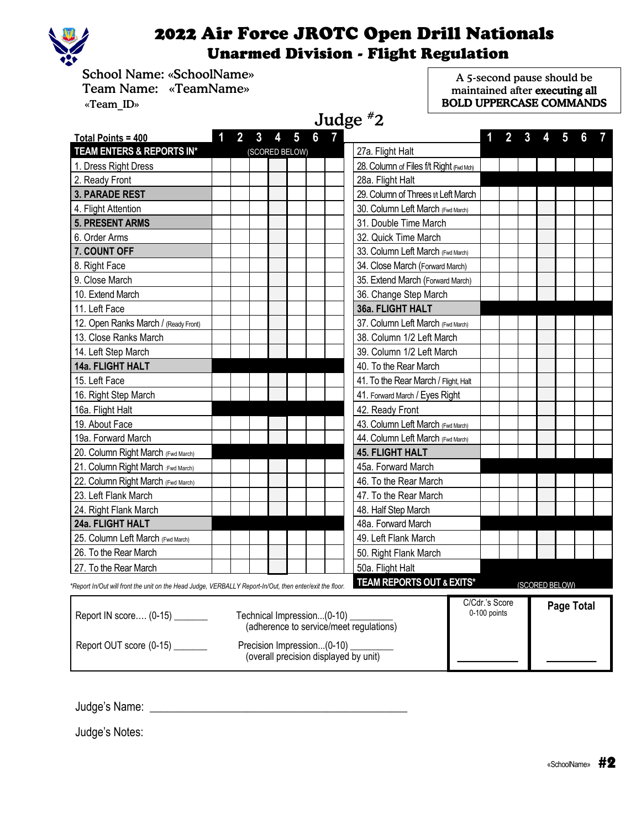

 School Name: «SchoolName» Team Name: «TeamName» «Team\_ID»

A 5-second pause should be maintained after executing all BOLD UPPERCASE COMMANDS

| Judge $*2$                                                                                               |   |                |   |                                                          |                                          |                                |   |  |                |            |  |
|----------------------------------------------------------------------------------------------------------|---|----------------|---|----------------------------------------------------------|------------------------------------------|--------------------------------|---|--|----------------|------------|--|
| Total Points = 400                                                                                       | 2 | 3<br>4         | 5 | 6<br>$\mathbf{7}$                                        |                                          |                                | 2 |  |                |            |  |
| TEAM ENTERS & REPORTS IN*                                                                                |   | (SCORED BELOW) |   |                                                          | 27a. Flight Halt                         |                                |   |  |                |            |  |
| 1. Dress Right Dress                                                                                     |   |                |   |                                                          | 28. Column of Files f/t Right (Fivd Mch) |                                |   |  |                |            |  |
| 2. Ready Front                                                                                           |   |                |   |                                                          | 28a. Flight Halt                         |                                |   |  |                |            |  |
| <b>3. PARADE REST</b>                                                                                    |   |                |   |                                                          | 29. Column of Threes tt Left March       |                                |   |  |                |            |  |
| 4. Flight Attention                                                                                      |   |                |   |                                                          | 30. Column Left March (Fwd March)        |                                |   |  |                |            |  |
| <b>5. PRESENT ARMS</b>                                                                                   |   |                |   |                                                          | 31. Double Time March                    |                                |   |  |                |            |  |
| 6. Order Arms                                                                                            |   |                |   |                                                          | 32. Quick Time March                     |                                |   |  |                |            |  |
| 7. COUNT OFF                                                                                             |   |                |   |                                                          | 33. Column Left March (Fwd March)        |                                |   |  |                |            |  |
| 8. Right Face                                                                                            |   |                |   |                                                          | 34. Close March (Forward March)          |                                |   |  |                |            |  |
| 9. Close March                                                                                           |   |                |   |                                                          | 35. Extend March (Forward March)         |                                |   |  |                |            |  |
| 10. Extend March                                                                                         |   |                |   |                                                          | 36. Change Step March                    |                                |   |  |                |            |  |
| 11. Left Face                                                                                            |   |                |   |                                                          | 36a. FLIGHT HALT                         |                                |   |  |                |            |  |
| 12. Open Ranks March / (Ready Front)                                                                     |   |                |   |                                                          | 37. Column Left March (Fwd March)        |                                |   |  |                |            |  |
| 13. Close Ranks March                                                                                    |   |                |   |                                                          | 38. Column 1/2 Left March                |                                |   |  |                |            |  |
| 14. Left Step March                                                                                      |   |                |   |                                                          | 39. Column 1/2 Left March                |                                |   |  |                |            |  |
| 14a. FLIGHT HALT                                                                                         |   |                |   |                                                          | 40. To the Rear March                    |                                |   |  |                |            |  |
| 15. Left Face                                                                                            |   |                |   |                                                          | 41. To the Rear March / Flight, Halt     |                                |   |  |                |            |  |
| 16. Right Step March                                                                                     |   |                |   |                                                          | 41. Forward March / Eyes Right           |                                |   |  |                |            |  |
| 16a. Flight Halt                                                                                         |   |                |   |                                                          | 42. Ready Front                          |                                |   |  |                |            |  |
| 19. About Face                                                                                           |   |                |   |                                                          | 43. Column Left March (Fwd March)        |                                |   |  |                |            |  |
| 19a. Forward March                                                                                       |   |                |   |                                                          | 44. Column Left March (Fwd March)        |                                |   |  |                |            |  |
| 20. Column Right March (Fwd March)                                                                       |   |                |   |                                                          | <b>45. FLIGHT HALT</b>                   |                                |   |  |                |            |  |
| 21. Column Right March : Fwd March)                                                                      |   |                |   |                                                          | 45a. Forward March                       |                                |   |  |                |            |  |
| 22. Column Right March (Fwd March)                                                                       |   |                |   |                                                          | 46. To the Rear March                    |                                |   |  |                |            |  |
| 23. Left Flank March                                                                                     |   |                |   |                                                          | 47. To the Rear March                    |                                |   |  |                |            |  |
| 24. Right Flank March                                                                                    |   |                |   |                                                          | 48. Half Step March                      |                                |   |  |                |            |  |
| 24a. FLIGHT HALT                                                                                         |   |                |   |                                                          | 48a. Forward March                       |                                |   |  |                |            |  |
| 25. Column Left March (Fwd March)                                                                        |   |                |   |                                                          | 49. Left Flank March                     |                                |   |  |                |            |  |
| 26. To the Rear March                                                                                    |   |                |   |                                                          | 50. Right Flank March                    |                                |   |  |                |            |  |
| 27. To the Rear March                                                                                    |   |                |   |                                                          | 50a. Flight Halt                         |                                |   |  |                |            |  |
| *Report In/Out will front the unit on the Head Judge, VERBALLY Report-In/Out, then enter/exit the floor. |   |                |   |                                                          | <b>TEAM REPORTS OUT &amp; EXITS*</b>     |                                |   |  | (SCORED BELOW) |            |  |
| Report IN score (0-15) _______<br>Report OUT score (0-15) _______                                        |   |                |   | Technical Impression(0-10)<br>Precision Impression(0-10) | (adherence to service/meet regulations)  | C/Cdr.'s Score<br>0-100 points |   |  |                | Page Total |  |
|                                                                                                          |   |                |   | (overall precision displayed by unit)                    |                                          |                                |   |  |                |            |  |

Judge's Name: \_\_\_\_\_\_\_\_\_\_\_\_\_\_\_\_\_\_\_\_\_\_\_\_\_\_\_\_\_\_\_\_\_\_\_\_\_\_\_\_\_\_\_\_\_

Judge's Notes: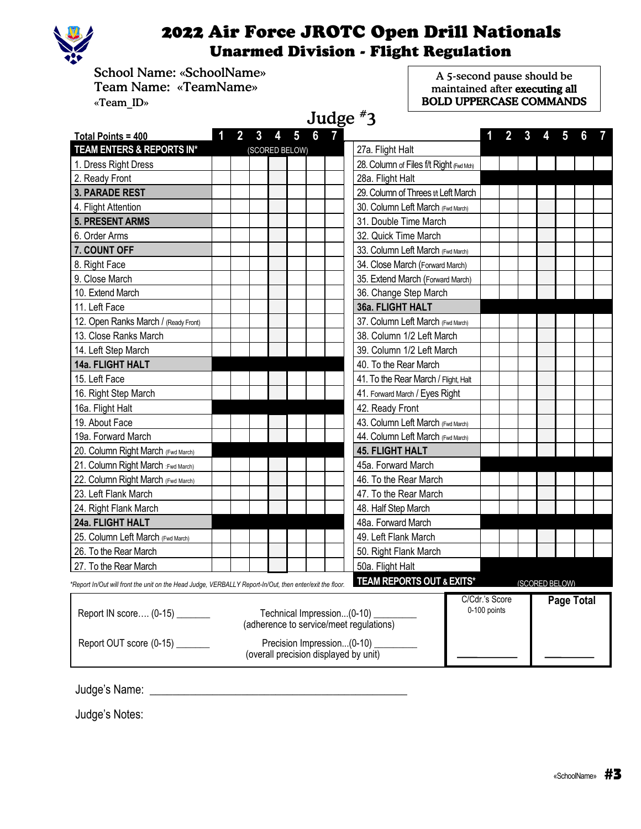

School Name: «SchoolName» Team Name: «TeamName» «Team\_ID»

A 5-second pause should be maintained after executing all BOLD UPPERCASE COMMANDS

| Judge $*$ 3                                                                                              |   |                                                                       |   |                                         |                                |   |  |                |                   |   |  |
|----------------------------------------------------------------------------------------------------------|---|-----------------------------------------------------------------------|---|-----------------------------------------|--------------------------------|---|--|----------------|-------------------|---|--|
| Total Points = 400                                                                                       | 2 | $\overline{5}$<br>3<br>4                                              | 6 |                                         |                                | 2 |  |                |                   | 6 |  |
| TEAM ENTERS & REPORTS IN*                                                                                |   | (SCORED BELOW)                                                        |   | 27a. Flight Halt                        |                                |   |  |                |                   |   |  |
| 1. Dress Right Dress                                                                                     |   |                                                                       |   | 28. Column of Files f/t Right (Fivd Md) |                                |   |  |                |                   |   |  |
| 2. Ready Front                                                                                           |   |                                                                       |   | 28a. Flight Halt                        |                                |   |  |                |                   |   |  |
| <b>3. PARADE REST</b>                                                                                    |   |                                                                       |   | 29. Column of Threes tt Left March      |                                |   |  |                |                   |   |  |
| 4. Flight Attention                                                                                      |   |                                                                       |   | 30. Column Left March (Fwd March)       |                                |   |  |                |                   |   |  |
| <b>5. PRESENT ARMS</b>                                                                                   |   |                                                                       |   | 31. Double Time March                   |                                |   |  |                |                   |   |  |
| 6. Order Arms                                                                                            |   |                                                                       |   | 32. Quick Time March                    |                                |   |  |                |                   |   |  |
| 7. COUNT OFF                                                                                             |   |                                                                       |   | 33. Column Left March (Fwd March)       |                                |   |  |                |                   |   |  |
| 8. Right Face                                                                                            |   |                                                                       |   | 34. Close March (Forward March)         |                                |   |  |                |                   |   |  |
| 9. Close March                                                                                           |   |                                                                       |   | 35. Extend March (Forward March)        |                                |   |  |                |                   |   |  |
| 10. Extend March                                                                                         |   |                                                                       |   | 36. Change Step March                   |                                |   |  |                |                   |   |  |
| 11. Left Face                                                                                            |   |                                                                       |   | 36a. FLIGHT HALT                        |                                |   |  |                |                   |   |  |
| 12. Open Ranks March / (Ready Front)                                                                     |   |                                                                       |   | 37. Column Left March (Fwd March)       |                                |   |  |                |                   |   |  |
| 13. Close Ranks March                                                                                    |   |                                                                       |   | 38. Column 1/2 Left March               |                                |   |  |                |                   |   |  |
| 14. Left Step March                                                                                      |   |                                                                       |   | 39. Column 1/2 Left March               |                                |   |  |                |                   |   |  |
| 14a. FLIGHT HALT                                                                                         |   |                                                                       |   | 40. To the Rear March                   |                                |   |  |                |                   |   |  |
| 15. Left Face                                                                                            |   |                                                                       |   | 41. To the Rear March / Flight, Halt    |                                |   |  |                |                   |   |  |
| 16. Right Step March                                                                                     |   |                                                                       |   | 41. Forward March / Eyes Right          |                                |   |  |                |                   |   |  |
| 16a. Flight Halt                                                                                         |   |                                                                       |   | 42. Ready Front                         |                                |   |  |                |                   |   |  |
| 19. About Face                                                                                           |   |                                                                       |   | 43. Column Left March (Fwd March)       |                                |   |  |                |                   |   |  |
| 19a. Forward March                                                                                       |   |                                                                       |   | 44. Column Left March (Fwd March)       |                                |   |  |                |                   |   |  |
| 20. Column Right March (Fwd March)                                                                       |   |                                                                       |   | <b>45. FLIGHT HALT</b>                  |                                |   |  |                |                   |   |  |
| 21. Column Right March : Fwd March)                                                                      |   |                                                                       |   | 45a. Forward March                      |                                |   |  |                |                   |   |  |
| 22. Column Right March (Fwd March)                                                                       |   |                                                                       |   | 46. To the Rear March                   |                                |   |  |                |                   |   |  |
| 23. Left Flank March                                                                                     |   |                                                                       |   | 47. To the Rear March                   |                                |   |  |                |                   |   |  |
| 24. Right Flank March                                                                                    |   |                                                                       |   | 48. Half Step March                     |                                |   |  |                |                   |   |  |
| 24a. FLIGHT HALT                                                                                         |   |                                                                       |   | 48a. Forward March                      |                                |   |  |                |                   |   |  |
| 25. Column Left March (Fwd March)                                                                        |   |                                                                       |   | 49. Left Flank March                    |                                |   |  |                |                   |   |  |
| 26. To the Rear March                                                                                    |   |                                                                       |   | 50. Right Flank March                   |                                |   |  |                |                   |   |  |
| 27. To the Rear March                                                                                    |   |                                                                       |   | 50a. Flight Halt                        |                                |   |  |                |                   |   |  |
| *Report In/Out will front the unit on the Head Judge, VERBALLY Report-In/Out, then enter/exit the floor. |   |                                                                       |   | TEAM REPORTS OUT & EXITS*               |                                |   |  | (SCORED BELOW) |                   |   |  |
| Report IN score (0-15) _______                                                                           |   | Technical Impression(0-10)<br>(adherence to service/meet regulations) |   |                                         | C/Cdr.'s Score<br>0-100 points |   |  |                | <b>Page Total</b> |   |  |
| Report OUT score (0-15)                                                                                  |   | Precision Impression(0-10)<br>(overall precision displayed by unit)   |   |                                         |                                |   |  |                |                   |   |  |

Judge's Name: \_\_\_\_\_\_\_\_\_\_\_\_\_\_\_\_\_\_\_\_\_\_\_\_\_\_\_\_\_\_\_\_\_\_\_\_\_\_\_\_\_\_\_\_\_

Judge's Notes: